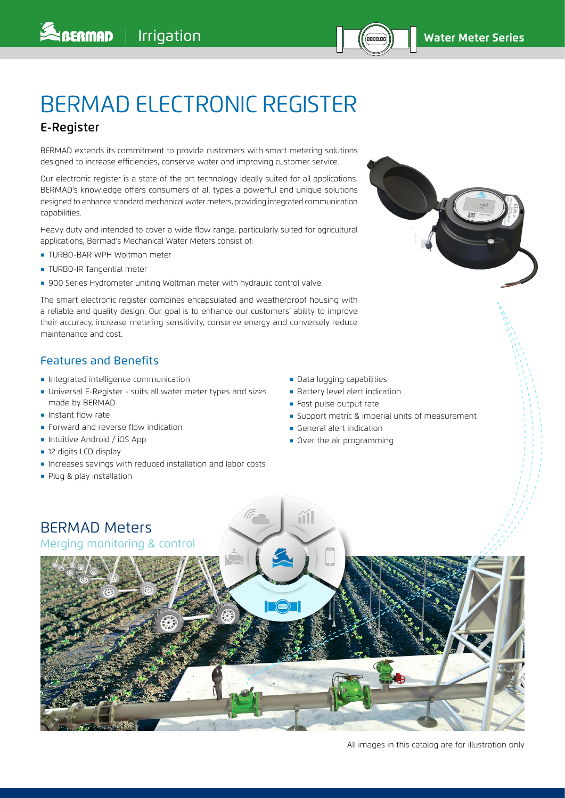# BERMAD ELECTRONIC REGISTER

# E-Register

BERMAD extends its commitment to provide customers with smart metering solutions designed to increase efficiencies, conserve water and improving customer service.

Our electronic register is a state of the art technology ideally suited for all applications. BERMAD's knowledge offers consumers of all types a powerful and unique solutions designed to enhance standard mechanical water meters, providing integrated communication capabilities.

Heavy duty and intended to cover a wide flow range, particularly suited for agricultural applications, Bermad's Mechanical Water Meters consist of:

- **TURBO-BAR WPH Woltman meter**
- **TURBO-IR Tangential meter**
- **.** 900 Series Hydrometer uniting Woltman meter with hydraulic control valve.

The smart electronic register combines encapsulated and weatherproof housing with a reliable and quality design. Our goal is to enhance our customers' ability to improve their accuracy, increase metering sensitivity, conserve energy and conversely reduce maintenance and cost.

## Features and Benefits

- ֺ Integrated intelligence communication
- ֺ Universal E-Register suits all water meter types and sizes made by BERMAD
- $\blacksquare$  Instant flow rate
- **Forward and reverse flow indication**
- ֺ Intuitive Android / iOS App
- 12 digits LCD display
- ֺ Increases savings with reduced installation and labor costs
- **Plug & play installation**
- ֺ Data logging capabilities
- **Battery level alert indication**
- **Fast pulse output rate**
- **Support metric & imperial units of measurement**
- **General alert indication**
- **Over the air programming**



All images in this catalog are for illustration only